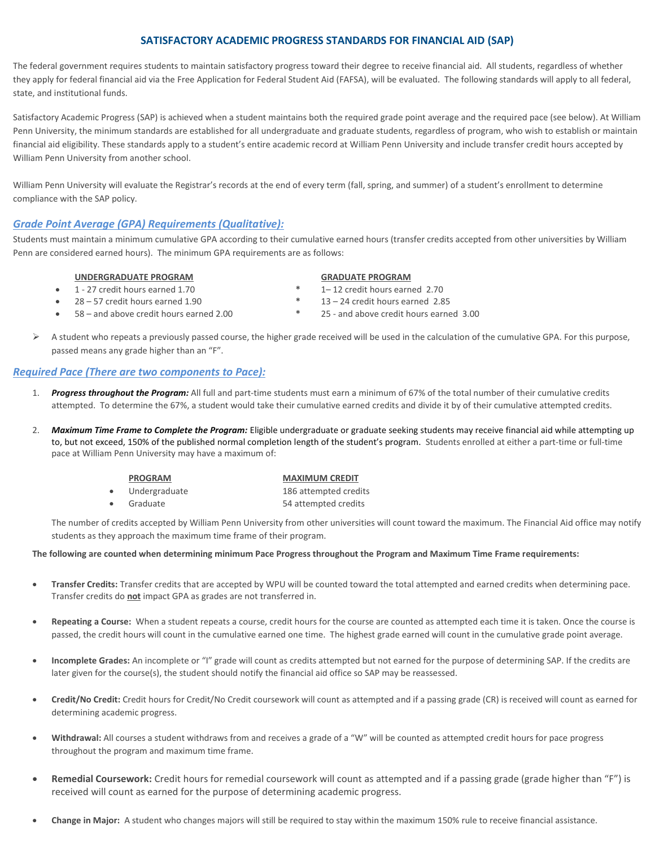# **SATISFACTORY ACADEMIC PROGRESS STANDARDS FOR FINANCIAL AID (SAP)**

The federal government requires students to maintain satisfactory progress toward their degree to receive financial aid. All students, regardless of whether they apply for federal financial aid via the Free Application for Federal Student Aid (FAFSA), will be evaluated. The following standards will apply to all federal, state, and institutional funds.

Satisfactory Academic Progress (SAP) is achieved when a student maintains both the required grade point average and the required pace (see below). At William Penn University, the minimum standards are established for all undergraduate and graduate students, regardless of program, who wish to establish or maintain financial aid eligibility. These standards apply to a student's entire academic record at William Penn University and include transfer credit hours accepted by William Penn University from another school.

William Penn University will evaluate the Registrar's records at the end of every term (fall, spring, and summer) of a student's enrollment to determine compliance with the SAP policy.

# *Grade Point Average (GPA) Requirements (Qualitative):*

Students must maintain a minimum cumulative GPA according to their cumulative earned hours (transfer credits accepted from other universities by William Penn are considered earned hours). The minimum GPA requirements are as follows:

## **UNDERGRADUATE PROGRAM GRADUATE PROGRAM**

- 1 27 credit hours earned 1.70 **\*** 1– 12 credit hours earned 2.70
- 28 57 credit hours earned 1.90 **\*** 13 24 credit hours earned 2.85
- 

- 
- 
- 58 and above credit hours earned 2.00 **\*** 25 and above credit hours earned 3.00
- ➢ A student who repeats a previously passed course, the higher grade received will be used in the calculation of the cumulative GPA. For this purpose, passed means any grade higher than an "F".

# *Required Pace (There are two components to Pace):*

- 1. *Progress throughout the Program:* All full and part-time students must earn a minimum of 67% of the total number of their cumulative credits attempted. To determine the 67%, a student would take their cumulative earned credits and divide it by of their cumulative attempted credits.
- 2. *Maximum Time Frame to Complete the Program:* Eligible undergraduate or graduate seeking students may receive financial aid while attempting up to, but not exceed, 150% of the published normal completion length of the student's program. Students enrolled at either a part-time or full-time pace at William Penn University may have a maximum of:

|           | <b>PROGRAM</b> | <b>MAXIMUM CREDIT</b> |
|-----------|----------------|-----------------------|
| $\bullet$ | Undergraduate  | 186 attempted credits |
| $\bullet$ | Graduate       | 54 attempted credits  |

The number of credits accepted by William Penn University from other universities will count toward the maximum. The Financial Aid office may notify students as they approach the maximum time frame of their program.

### **The following are counted when determining minimum Pace Progress throughout the Program and Maximum Time Frame requirements:**

- **Transfer Credits:** Transfer credits that are accepted by WPU will be counted toward the total attempted and earned credits when determining pace. Transfer credits do **not** impact GPA as grades are not transferred in.
- **Repeating a Course:** When a student repeats a course, credit hours for the course are counted as attempted each time it is taken. Once the course is passed, the credit hours will count in the cumulative earned one time. The highest grade earned will count in the cumulative grade point average.
- **Incomplete Grades:** An incomplete or "I" grade will count as credits attempted but not earned for the purpose of determining SAP. If the credits are later given for the course(s), the student should notify the financial aid office so SAP may be reassessed.
- **Credit/No Credit:** Credit hours for Credit/No Credit coursework will count as attempted and if a passing grade (CR) is received will count as earned for determining academic progress.
- **Withdrawal:** All courses a student withdraws from and receives a grade of a "W" will be counted as attempted credit hours for pace progress throughout the program and maximum time frame.
- **Remedial Coursework:** Credit hours for remedial coursework will count as attempted and if a passing grade (grade higher than "F") is received will count as earned for the purpose of determining academic progress.
- **Change in Major:** A student who changes majors will still be required to stay within the maximum 150% rule to receive financial assistance.